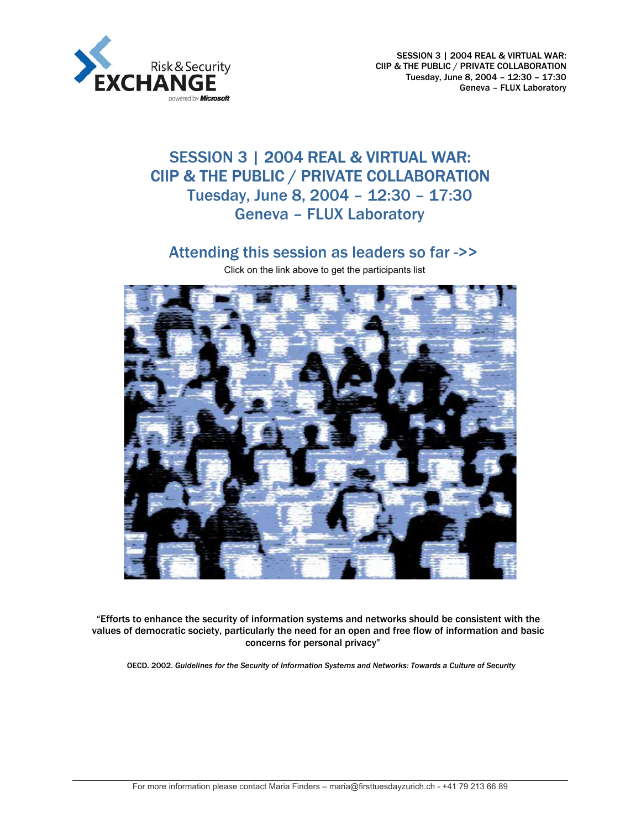

SESSION 3 | 2004 REAL & VIRTUAL WAR: CIIP & THE PUBLIC / PRIVATE COLLABORATION Tuesday, June 8, 2004 – 12:30 – 17:30 Geneva – FLUX Laboratory

# SESSION 3 | 2004 REAL & VIRTUAL WAR: CIIP & THE PUBLIC / PRIVATE COLLABORATION Tuesday, June 8, 2004 – 12:30 – 17:30 Geneva – FLUX Laboratory

# [Attending this session as leaders so far ->>](#page-9-0)

Click on the link above to get the participants list



"Efforts to enhance the security of information systems and networks should be consistent with the values of democratic society, particularly the need for an open and free flow of information and basic concerns for personal privacy"

OECD. 2002. *Guidelines for the Security of Information Systems and Networks: Towards a Culture of Security*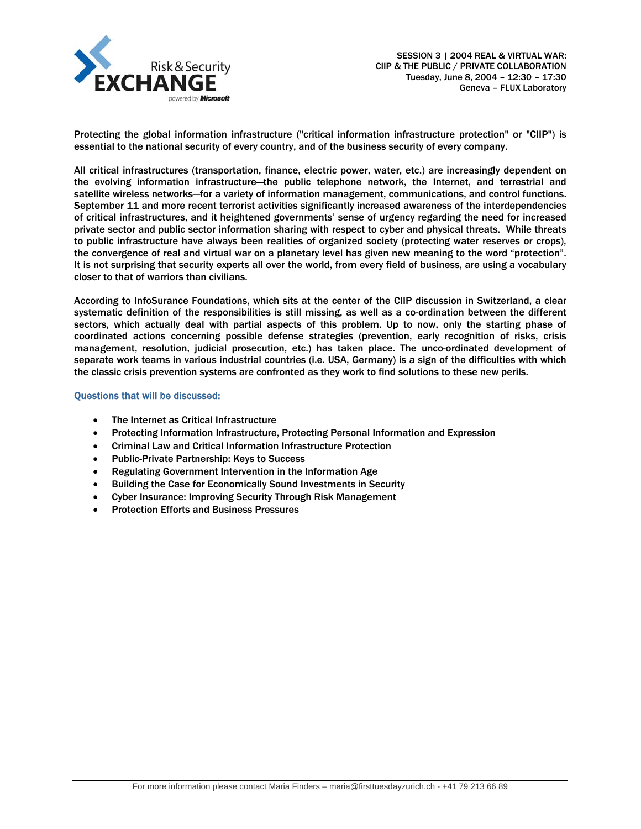

Protecting the global information infrastructure ("critical information infrastructure protection" or "CIIP") is essential to the national security of every country, and of the business security of every company.

All critical infrastructures (transportation, finance, electric power, water, etc.) are increasingly dependent on the evolving information infrastructure—the public telephone network, the Internet, and terrestrial and satellite wireless networks—for a variety of information management, communications, and control functions. September 11 and more recent terrorist activities significantly increased awareness of the interdependencies of critical infrastructures, and it heightened governments' sense of urgency regarding the need for increased private sector and public sector information sharing with respect to cyber and physical threats. While threats to public infrastructure have always been realities of organized society (protecting water reserves or crops), the convergence of real and virtual war on a planetary level has given new meaning to the word "protection". It is not surprising that security experts all over the world, from every field of business, are using a vocabulary closer to that of warriors than civilians.

According to InfoSurance Foundations, which sits at the center of the CIIP discussion in Switzerland, a clear systematic definition of the responsibilities is still missing, as well as a co-ordination between the different sectors, which actually deal with partial aspects of this problem. Up to now, only the starting phase of coordinated actions concerning possible defense strategies (prevention, early recognition of risks, crisis management, resolution, judicial prosecution, etc.) has taken place. The unco-ordinated development of separate work teams in various industrial countries (i.e. USA, Germany) is a sign of the difficulties with which the classic crisis prevention systems are confronted as they work to find solutions to these new perils.

# Questions that will be discussed:

- The Internet as Critical Infrastructure
- Protecting Information Infrastructure, Protecting Personal Information and Expression
- Criminal Law and Critical Information Infrastructure Protection
- Public-Private Partnership: Keys to Success
- Regulating Government Intervention in the Information Age
- Building the Case for Economically Sound Investments in Security
- Cyber Insurance: Improving Security Through Risk Management
- Protection Efforts and Business Pressures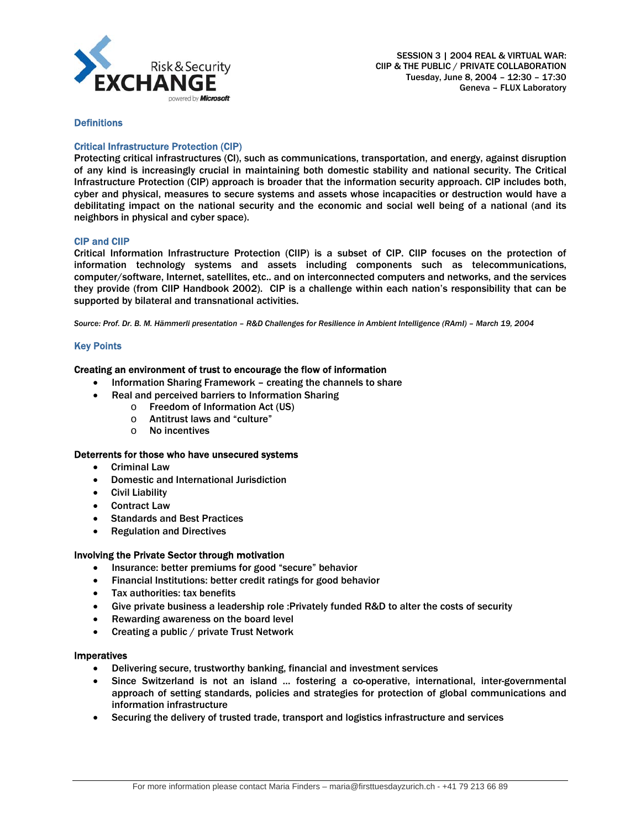

# **Definitions**

# Critical Infrastructure Protection (CIP)

Protecting critical infrastructures (CI), such as communications, transportation, and energy, against disruption of any kind is increasingly crucial in maintaining both domestic stability and national security. The Critical Infrastructure Protection (CIP) approach is broader that the information security approach. CIP includes both, cyber and physical, measures to secure systems and assets whose incapacities or destruction would have a debilitating impact on the national security and the economic and social well being of a national (and its neighbors in physical and cyber space).

# CIP and CIIP

Critical Information Infrastructure Protection (CIIP) is a subset of CIP. CIIP focuses on the protection of information technology systems and assets including components such as telecommunications, computer/software, Internet, satellites, etc.. and on interconnected computers and networks, and the services they provide (from CIIP Handbook 2002). CIP is a challenge within each nation's responsibility that can be supported by bilateral and transnational activities.

*Source: Prof. Dr. B. M. Hämmerli presentation – R&D Challenges for Resilience in Ambient Intelligence (RAmI) – March 19, 2004* 

# Key Points

# Creating an environment of trust to encourage the flow of information

- Information Sharing Framework creating the channels to share
	- Real and perceived barriers to Information Sharing
		- o Freedom of Information Act (US)
		- o Antitrust laws and "culture"
		- o No incentives

#### Deterrents for those who have unsecured systems

- Criminal Law
- Domestic and International Jurisdiction
- Civil Liability
- Contract Law
- Standards and Best Practices
- Regulation and Directives

#### Involving the Private Sector through motivation

- Insurance: better premiums for good "secure" behavior
- Financial Institutions: better credit ratings for good behavior
- Tax authorities: tax benefits
- Give private business a leadership role :Privately funded R&D to alter the costs of security
- Rewarding awareness on the board level
- Creating a public / private Trust Network

#### Imperatives

- Delivering secure, trustworthy banking, financial and investment services
- Since Switzerland is not an island … fostering a co-operative, international, inter-governmental approach of setting standards, policies and strategies for protection of global communications and information infrastructure
- Securing the delivery of trusted trade, transport and logistics infrastructure and services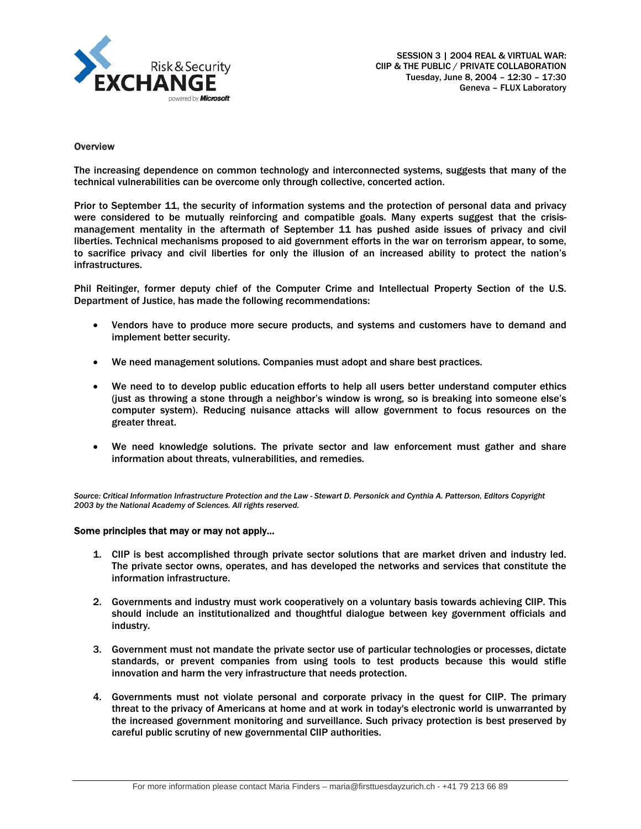

#### **Overview**

The increasing dependence on common technology and interconnected systems, suggests that many of the technical vulnerabilities can be overcome only through collective, concerted action.

Prior to September 11, the security of information systems and the protection of personal data and privacy were considered to be mutually reinforcing and compatible goals. Many experts suggest that the crisismanagement mentality in the aftermath of September 11 has pushed aside issues of privacy and civil liberties. Technical mechanisms proposed to aid government efforts in the war on terrorism appear, to some, to sacrifice privacy and civil liberties for only the illusion of an increased ability to protect the nation's infrastructures.

Phil Reitinger, former deputy chief of the Computer Crime and Intellectual Property Section of the U.S. Department of Justice, has made the following recommendations:

- Vendors have to produce more secure products, and systems and customers have to demand and implement better security.
- We need management solutions. Companies must adopt and share best practices.
- We need to to develop public education efforts to help all users better understand computer ethics (just as throwing a stone through a neighbor's window is wrong, so is breaking into someone else's computer system). Reducing nuisance attacks will allow government to focus resources on the greater threat.
- We need knowledge solutions. The private sector and law enforcement must gather and share information about threats, vulnerabilities, and remedies.

*Source: Critical Information Infrastructure Protection and the Law - Stewart D. Personick and Cynthia A. Patterson, Editors Copyright 2003 by the National Academy of Sciences. All rights reserved.* 

#### Some principles that may or may not apply…

- 1. CIIP is best accomplished through private sector solutions that are market driven and industry led. The private sector owns, operates, and has developed the networks and services that constitute the information infrastructure.
- 2. Governments and industry must work cooperatively on a voluntary basis towards achieving CIIP. This should include an institutionalized and thoughtful dialogue between key government officials and industry.
- 3. Government must not mandate the private sector use of particular technologies or processes, dictate standards, or prevent companies from using tools to test products because this would stifle innovation and harm the very infrastructure that needs protection.
- 4. Governments must not violate personal and corporate privacy in the quest for CIIP. The primary threat to the privacy of Americans at home and at work in today's electronic world is unwarranted by the increased government monitoring and surveillance. Such privacy protection is best preserved by careful public scrutiny of new governmental CIIP authorities.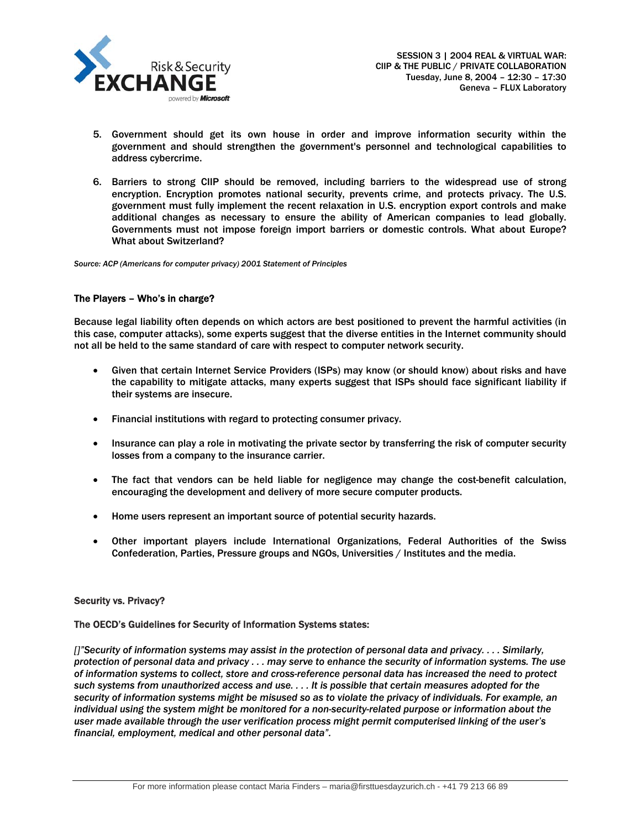

- 5. Government should get its own house in order and improve information security within the government and should strengthen the government's personnel and technological capabilities to address cybercrime.
- 6. Barriers to strong CIIP should be removed, including barriers to the widespread use of strong encryption. Encryption promotes national security, prevents crime, and protects privacy. The U.S. government must fully implement the recent relaxation in U.S. encryption export controls and make additional changes as necessary to ensure the ability of American companies to lead globally. Governments must not impose foreign import barriers or domestic controls. What about Europe? What about Switzerland?

*Source: ACP (Americans for computer privacy) 2001 Statement of Principles* 

#### The Players – Who's in charge?

Because legal liability often depends on which actors are best positioned to prevent the harmful activities (in this case, computer attacks), some experts suggest that the diverse entities in the Internet community should not all be held to the same standard of care with respect to computer network security.

- Given that certain Internet Service Providers (ISPs) may know (or should know) about risks and have the capability to mitigate attacks, many experts suggest that ISPs should face significant liability if their systems are insecure.
- Financial institutions with regard to protecting consumer privacy.
- Insurance can play a role in motivating the private sector by transferring the risk of computer security losses from a company to the insurance carrier.
- The fact that vendors can be held liable for negligence may change the cost-benefit calculation, encouraging the development and delivery of more secure computer products.
- Home users represent an important source of potential security hazards.
- Other important players include International Organizations, Federal Authorities of the Swiss Confederation, Parties, Pressure groups and NGOs, Universities / Institutes and the media.

#### Security vs. Privacy?

#### The OECD's Guidelines for Security of Information Systems states:

*[]"Security of information systems may assist in the protection of personal data and privacy. . . . Similarly, protection of personal data and privacy . . . may serve to enhance the security of information systems. The use of information systems to collect, store and cross-reference personal data has increased the need to protect such systems from unauthorized access and use. . . . It is possible that certain measures adopted for the security of information systems might be misused so as to violate the privacy of individuals. For example, an individual using the system might be monitored for a non-security-related purpose or information about the user made available through the user verification process might permit computerised linking of the user's financial, employment, medical and other personal data".*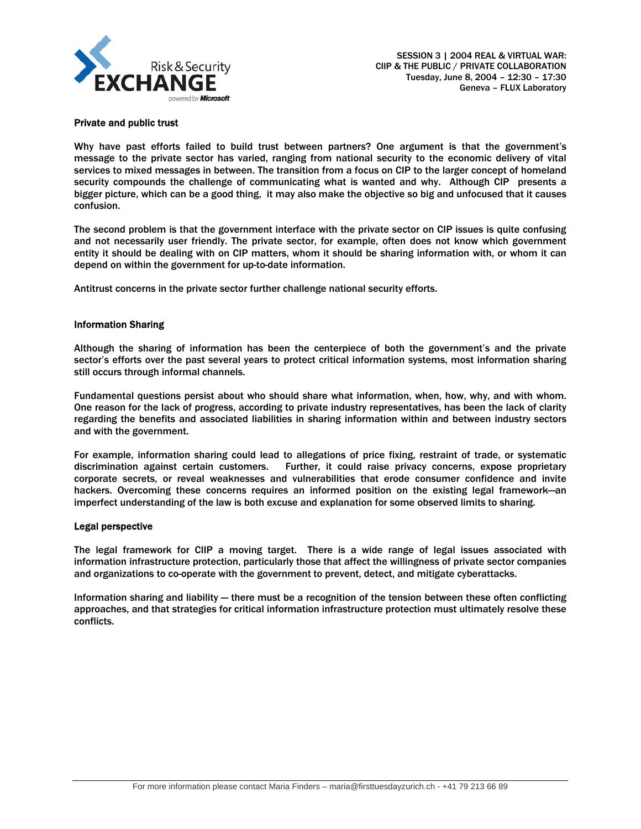

# Private and public trust

Why have past efforts failed to build trust between partners? One argument is that the government's message to the private sector has varied, ranging from national security to the economic delivery of vital services to mixed messages in between. The transition from a focus on CIP to the larger concept of homeland security compounds the challenge of communicating what is wanted and why. Although CIP presents a bigger picture, which can be a good thing, it may also make the objective so big and unfocused that it causes confusion.

The second problem is that the government interface with the private sector on CIP issues is quite confusing and not necessarily user friendly. The private sector, for example, often does not know which government entity it should be dealing with on CIP matters, whom it should be sharing information with, or whom it can depend on within the government for up-to-date information.

Antitrust concerns in the private sector further challenge national security efforts.

# Information Sharing

Although the sharing of information has been the centerpiece of both the government's and the private sector's efforts over the past several years to protect critical information systems, most information sharing still occurs through informal channels.

Fundamental questions persist about who should share what information, when, how, why, and with whom. One reason for the lack of progress, according to private industry representatives, has been the lack of clarity regarding the benefits and associated liabilities in sharing information within and between industry sectors and with the government.

For example, information sharing could lead to allegations of price fixing, restraint of trade, or systematic discrimination against certain customers. Further, it could raise privacy concerns, expose proprietary corporate secrets, or reveal weaknesses and vulnerabilities that erode consumer confidence and invite hackers. Overcoming these concerns requires an informed position on the existing legal framework—an imperfect understanding of the law is both excuse and explanation for some observed limits to sharing.

#### Legal perspective

The legal framework for CIIP a moving target. There is a wide range of legal issues associated with information infrastructure protection, particularly those that affect the willingness of private sector companies and organizations to co-operate with the government to prevent, detect, and mitigate cyberattacks.

Information sharing and liability — there must be a recognition of the tension between these often conflicting approaches, and that strategies for critical information infrastructure protection must ultimately resolve these conflicts.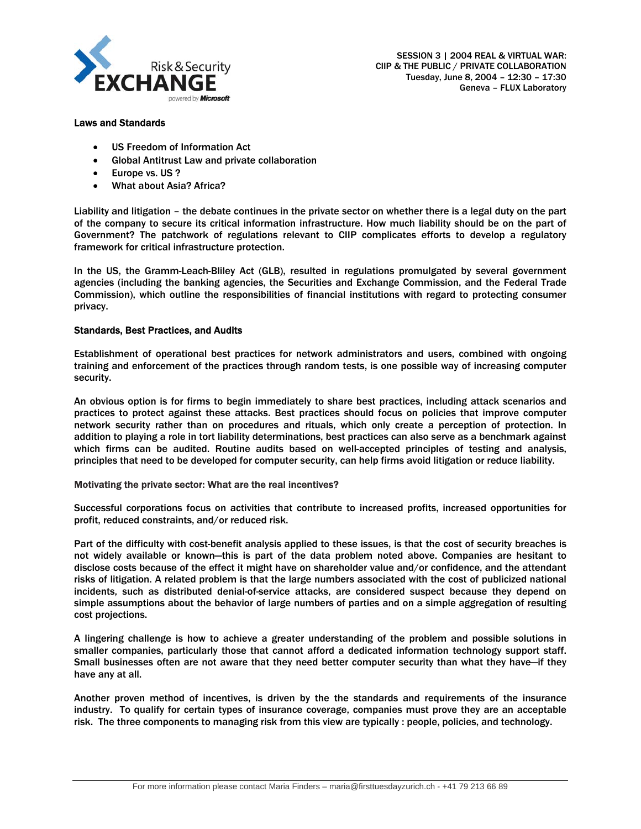

# Laws and Standards

- US Freedom of Information Act
- Global Antitrust Law and private collaboration
- Europe vs. US ?
- What about Asia? Africa?

Liability and litigation – the debate continues in the private sector on whether there is a legal duty on the part of the company to secure its critical information infrastructure. How much liability should be on the part of Government? The patchwork of regulations relevant to CIIP complicates efforts to develop a regulatory framework for critical infrastructure protection.

In the US, the Gramm-Leach-Bliley Act (GLB), resulted in regulations promulgated by several government agencies (including the banking agencies, the Securities and Exchange Commission, and the Federal Trade Commission), which outline the responsibilities of financial institutions with regard to protecting consumer privacy.

# Standards, Best Practices, and Audits

Establishment of operational best practices for network administrators and users, combined with ongoing training and enforcement of the practices through random tests, is one possible way of increasing computer security.

An obvious option is for firms to begin immediately to share best practices, including attack scenarios and practices to protect against these attacks. Best practices should focus on policies that improve computer network security rather than on procedures and rituals, which only create a perception of protection. In addition to playing a role in tort liability determinations, best practices can also serve as a benchmark against which firms can be audited. Routine audits based on well-accepted principles of testing and analysis, principles that need to be developed for computer security, can help firms avoid litigation or reduce liability.

#### Motivating the private sector: What are the real incentives?

Successful corporations focus on activities that contribute to increased profits, increased opportunities for profit, reduced constraints, and/or reduced risk.

Part of the difficulty with cost-benefit analysis applied to these issues, is that the cost of security breaches is not widely available or known—this is part of the data problem noted above. Companies are hesitant to disclose costs because of the effect it might have on shareholder value and/or confidence, and the attendant risks of litigation. A related problem is that the large numbers associated with the cost of publicized national incidents, such as distributed denial-of-service attacks, are considered suspect because they depend on simple assumptions about the behavior of large numbers of parties and on a simple aggregation of resulting cost projections.

A lingering challenge is how to achieve a greater understanding of the problem and possible solutions in smaller companies, particularly those that cannot afford a dedicated information technology support staff. Small businesses often are not aware that they need better computer security than what they have—if they have any at all.

Another proven method of incentives, is driven by the the standards and requirements of the insurance industry. To qualify for certain types of insurance coverage, companies must prove they are an acceptable risk. The three components to managing risk from this view are typically : people, policies, and technology.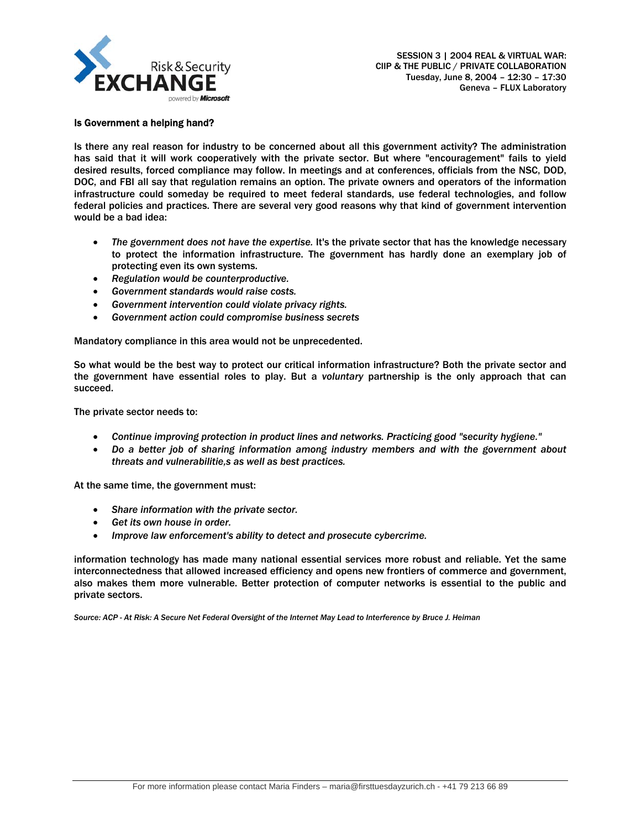

#### Is Government a helping hand?

Is there any real reason for industry to be concerned about all this government activity? The administration has said that it will work cooperatively with the private sector. But where "encouragement" fails to yield desired results, forced compliance may follow. In meetings and at conferences, officials from the NSC, DOD, DOC, and FBI all say that regulation remains an option. The private owners and operators of the information infrastructure could someday be required to meet federal standards, use federal technologies, and follow federal policies and practices. There are several very good reasons why that kind of government intervention would be a bad idea:

- *The government does not have the expertise.* It's the private sector that has the knowledge necessary to protect the information infrastructure. The government has hardly done an exemplary job of protecting even its own systems.
- *Regulation would be counterproductive.*
- *Government standards would raise costs.*
- *Government intervention could violate privacy rights.*
- *Government action could compromise business secrets*

Mandatory compliance in this area would not be unprecedented.

So what would be the best way to protect our critical information infrastructure? Both the private sector and the government have essential roles to play. But a *voluntary* partnership is the only approach that can succeed.

The private sector needs to:

- *Continue improving protection in product lines and networks. Practicing good "security hygiene."*
- *Do a better job of sharing information among industry members and with the government about threats and vulnerabilitie,s as well as best practices.*

At the same time, the government must:

- *Share information with the private sector.*
- *Get its own house in order.*
- *Improve law enforcement's ability to detect and prosecute cybercrime.*

information technology has made many national essential services more robust and reliable. Yet the same interconnectedness that allowed increased efficiency and opens new frontiers of commerce and government, also makes them more vulnerable. Better protection of computer networks is essential to the public and private sectors.

*Source: ACP - At Risk: A Secure Net Federal Oversight of the Internet May Lead to Interference by Bruce J. Heiman*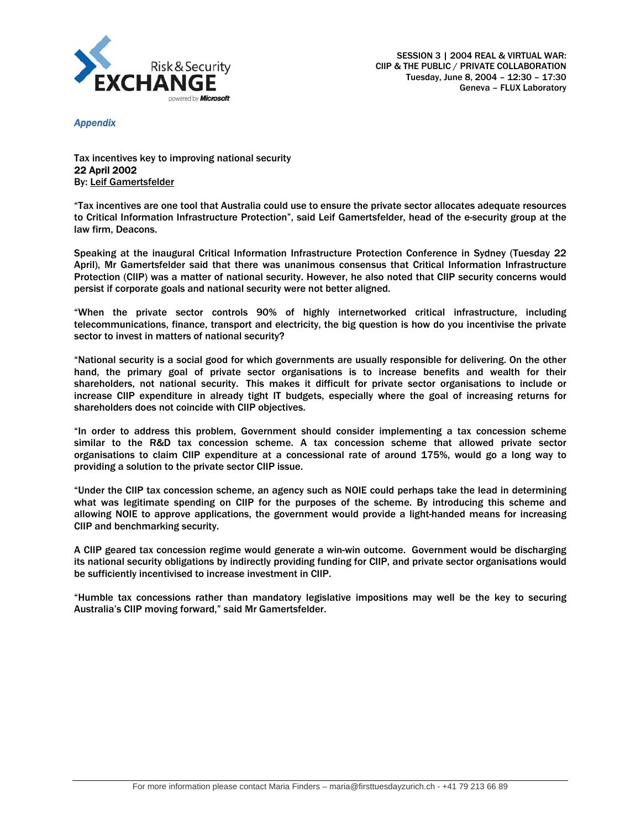

*Appendix* 

Tax incentives key to improving national security 22 April 2002 By: Leif Gamertsfelder

"Tax incentives are one tool that Australia could use to ensure the private sector allocates adequate resources to Critical Information Infrastructure Protection", said Leif Gamertsfelder, head of the e-security group at the law firm, Deacons.

Speaking at the inaugural Critical Information Infrastructure Protection Conference in Sydney (Tuesday 22 April), Mr Gamertsfelder said that there was unanimous consensus that Critical Information Infrastructure Protection (CIIP) was a matter of national security. However, he also noted that CIIP security concerns would persist if corporate goals and national security were not better aligned.

"When the private sector controls 90% of highly internetworked critical infrastructure, including telecommunications, finance, transport and electricity, the big question is how do you incentivise the private sector to invest in matters of national security?

"National security is a social good for which governments are usually responsible for delivering. On the other hand, the primary goal of private sector organisations is to increase benefits and wealth for their shareholders, not national security. This makes it difficult for private sector organisations to include or increase CIIP expenditure in already tight IT budgets, especially where the goal of increasing returns for shareholders does not coincide with CIIP objectives.

"In order to address this problem, Government should consider implementing a tax concession scheme similar to the R&D tax concession scheme. A tax concession scheme that allowed private sector organisations to claim CIIP expenditure at a concessional rate of around 175%, would go a long way to providing a solution to the private sector CIIP issue.

"Under the CIIP tax concession scheme, an agency such as NOIE could perhaps take the lead in determining what was legitimate spending on CIIP for the purposes of the scheme. By introducing this scheme and allowing NOIE to approve applications, the government would provide a light-handed means for increasing CIIP and benchmarking security.

A CIIP geared tax concession regime would generate a win-win outcome. Government would be discharging its national security obligations by indirectly providing funding for CIIP, and private sector organisations would be sufficiently incentivised to increase investment in CIIP.

"Humble tax concessions rather than mandatory legislative impositions may well be the key to securing Australia's CIIP moving forward," said Mr Gamertsfelder.